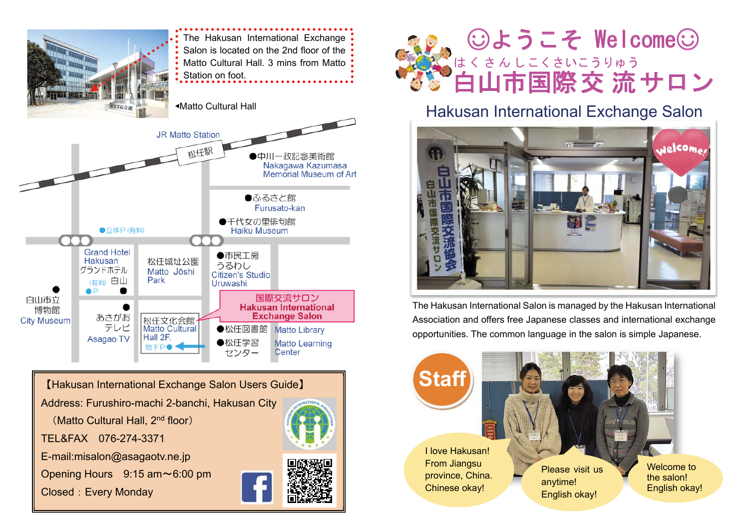

【Hakusan International Exchange Salon Users Guide】

Address: Furushiro-machi 2-banchi, Hakusan City

(Matto Cultural Hall, 2<sup>nd</sup> floor)

TEL&FAX 076-274-3371

E-mail:misalon@asagaotv.ne.jp

Opening Hours 9:15 am~6:00 pm

Closed: Every Monday





### Hakusan International Exchange Salon



The Hakusan International Salon is managed by the Hakusan International Association and offers free Japanese classes and international exchange opportunities. The common language in the salon is simple Japanese.